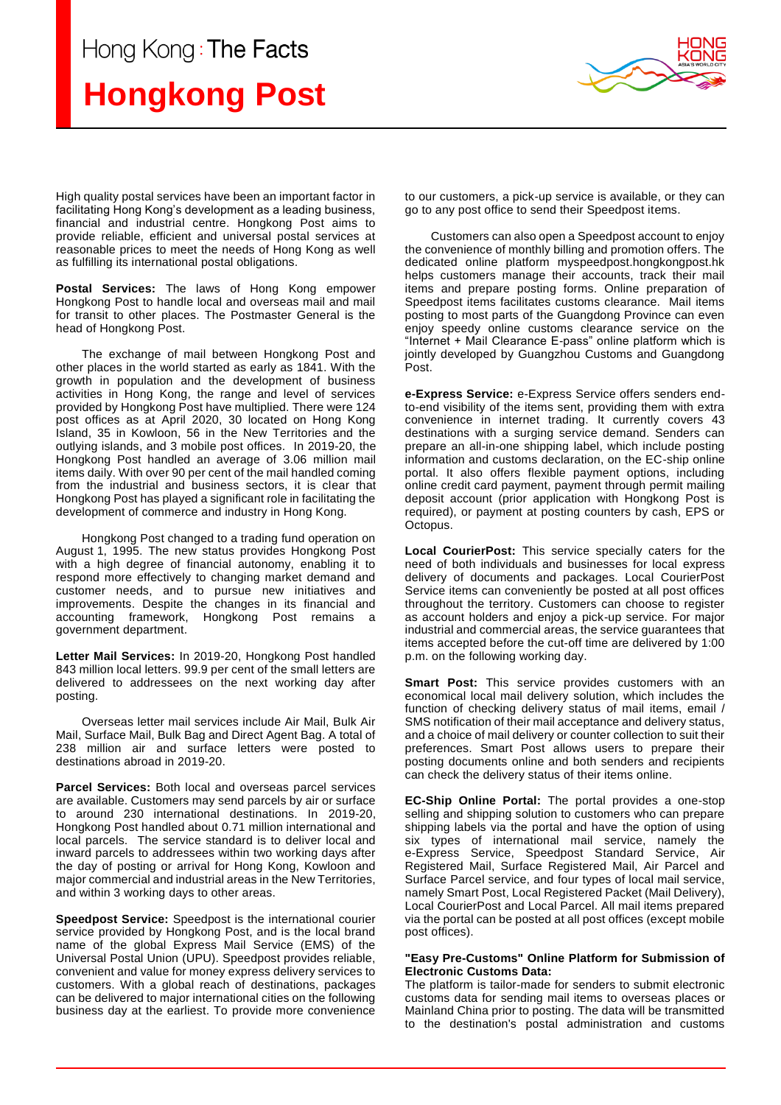## Hong Kong: The Facts

## **Hongkong Post**



High quality postal services have been an important factor in facilitating Hong Kong's development as a leading business, financial and industrial centre. Hongkong Post aims to provide reliable, efficient and universal postal services at reasonable prices to meet the needs of Hong Kong as well as fulfilling its international postal obligations.

**Postal Services:** The laws of Hong Kong empower Hongkong Post to handle local and overseas mail and mail for transit to other places. The Postmaster General is the head of Hongkong Post.

The exchange of mail between Hongkong Post and other places in the world started as early as 1841. With the growth in population and the development of business activities in Hong Kong, the range and level of services provided by Hongkong Post have multiplied. There were 124 post offices as at April 2020, 30 located on Hong Kong Island, 35 in Kowloon, 56 in the New Territories and the outlying islands, and 3 mobile post offices. In 2019-20, the Hongkong Post handled an average of 3.06 million mail items daily. With over 90 per cent of the mail handled coming from the industrial and business sectors, it is clear that Hongkong Post has played a significant role in facilitating the development of commerce and industry in Hong Kong.

Hongkong Post changed to a trading fund operation on August 1, 1995. The new status provides Hongkong Post with a high degree of financial autonomy, enabling it to respond more effectively to changing market demand and customer needs, and to pursue new initiatives and improvements. Despite the changes in its financial and accounting framework, Hongkong Post remains a government department.

**Letter Mail Services:** In 2019-20, Hongkong Post handled 843 million local letters. 99.9 per cent of the small letters are delivered to addressees on the next working day after posting.

Overseas letter mail services include Air Mail, Bulk Air Mail, Surface Mail, Bulk Bag and Direct Agent Bag. A total of 238 million air and surface letters were posted to destinations abroad in 2019-20.

**Parcel Services:** Both local and overseas parcel services are available. Customers may send parcels by air or surface to around 230 international destinations. In 2019-20, Hongkong Post handled about 0.71 million international and local parcels.The service standard is to deliver local and inward parcels to addressees within two working days after the day of posting or arrival for Hong Kong, Kowloon and major commercial and industrial areas in the New Territories, and within 3 working days to other areas.

**Speedpost Service:** Speedpost is the international courier service provided by Hongkong Post, and is the local brand name of the global Express Mail Service (EMS) of the Universal Postal Union (UPU). Speedpost provides reliable, convenient and value for money express delivery services to customers. With a global reach of destinations, packages can be delivered to major international cities on the following business day at the earliest. To provide more convenience

to our customers, a pick-up service is available, or they can go to any post office to send their Speedpost items.

Customers can also open a Speedpost account to enjoy the convenience of monthly billing and promotion offers. The dedicated online platform myspeedpost.hongkongpost.hk helps customers manage their accounts, track their mail items and prepare posting forms. Online preparation of Speedpost items facilitates customs clearance. Mail items posting to most parts of the Guangdong Province can even enjoy speedy online customs clearance service on the "Internet + Mail Clearance E-pass" online platform which is jointly developed by Guangzhou Customs and Guangdong Post.

**e-Express Service:** e-Express Service offers senders endto-end visibility of the items sent, providing them with extra convenience in internet trading. It currently covers 43 destinations with a surging service demand. Senders can prepare an all-in-one shipping label, which include posting information and customs declaration, on the EC-ship online portal. It also offers flexible payment options, including online credit card payment, payment through permit mailing deposit account (prior application with Hongkong Post is required), or payment at posting counters by cash, EPS or Octopus.

**Local CourierPost:** This service specially caters for the need of both individuals and businesses for local express delivery of documents and packages. Local CourierPost Service items can conveniently be posted at all post offices throughout the territory. Customers can choose to register as account holders and enjoy a pick-up service. For major industrial and commercial areas, the service guarantees that items accepted before the cut-off time are delivered by 1:00 p.m. on the following working day.

**Smart Post:** This service provides customers with an economical local mail delivery solution, which includes the function of checking delivery status of mail items, email / SMS notification of their mail acceptance and delivery status, and a choice of mail delivery or counter collection to suit their preferences. Smart Post allows users to prepare their posting documents online and both senders and recipients can check the delivery status of their items online.

**EC-Ship Online Portal:** The portal provides a one-stop selling and shipping solution to customers who can prepare shipping labels via the portal and have the option of using six types of international mail service, namely the e-Express Service, Speedpost Standard Service, Air Registered Mail, Surface Registered Mail, Air Parcel and Surface Parcel service, and four types of local mail service, namely Smart Post, Local Registered Packet (Mail Delivery), Local CourierPost and Local Parcel. All mail items prepared via the portal can be posted at all post offices (except mobile post offices).

## **"Easy Pre-Customs" Online Platform for Submission of Electronic Customs Data:**

The platform is tailor-made for senders to submit electronic customs data for sending mail items to overseas places or Mainland China prior to posting. The data will be transmitted to the destination's postal administration and customs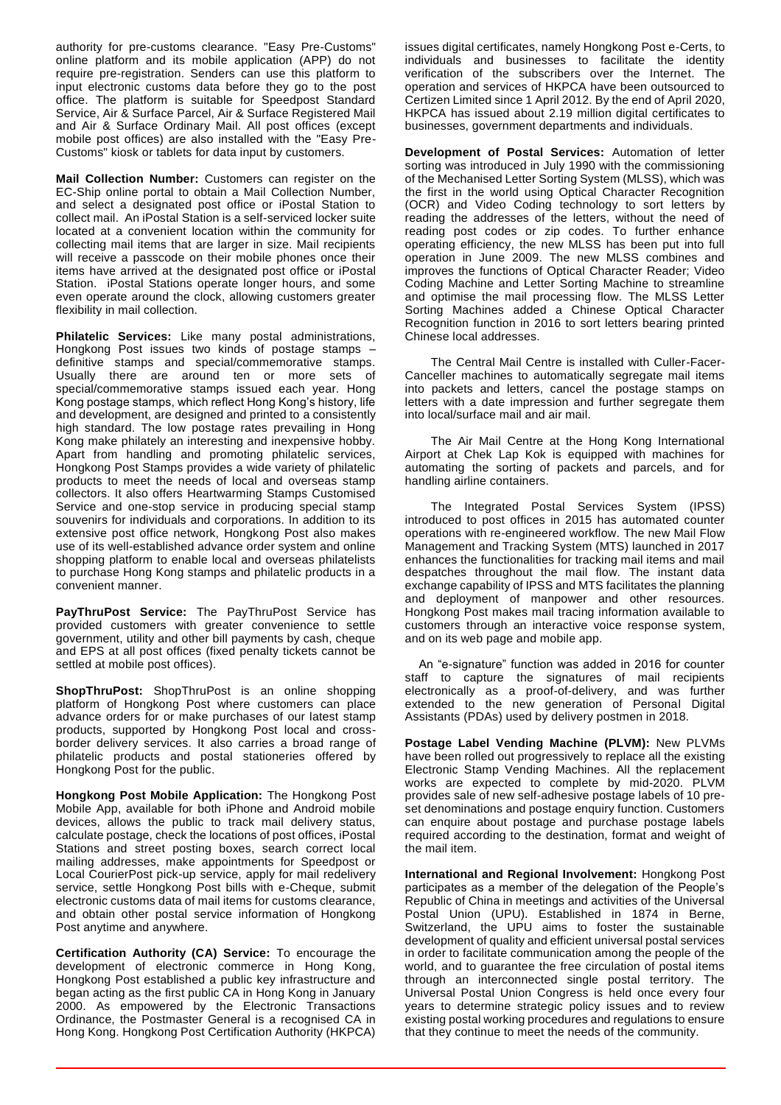authority for pre-customs clearance. "Easy Pre-Customs" online platform and its mobile application (APP) do not require pre-registration. Senders can use this platform to input electronic customs data before they go to the post office. The platform is suitable for Speedpost Standard Service, Air & Surface Parcel, Air & Surface Registered Mail and Air & Surface Ordinary Mail. All post offices (except mobile post offices) are also installed with the "Easy Pre-Customs" kiosk or tablets for data input by customers.

**Mail Collection Number:** Customers can register on the EC-Ship online portal to obtain a Mail Collection Number, and select a designated post office or iPostal Station to collect mail. An iPostal Station is a self-serviced locker suite located at a convenient location within the community for collecting mail items that are larger in size. Mail recipients will receive a passcode on their mobile phones once their items have arrived at the designated post office or iPostal Station. iPostal Stations operate longer hours, and some even operate around the clock, allowing customers greater flexibility in mail collection.

**Philatelic Services:** Like many postal administrations, Hongkong Post issues two kinds of postage stamps – definitive stamps and special/commemorative stamps. Usually there are around ten or more sets of special/commemorative stamps issued each year. Hong Kong postage stamps, which reflect Hong Kong's history, life and development, are designed and printed to a consistently high standard. The low postage rates prevailing in Hong Kong make philately an interesting and inexpensive hobby. Apart from handling and promoting philatelic services, Hongkong Post Stamps provides a wide variety of philatelic products to meet the needs of local and overseas stamp collectors. It also offers Heartwarming Stamps Customised Service and one-stop service in producing special stamp souvenirs for individuals and corporations. In addition to its extensive post office network, Hongkong Post also makes use of its well-established advance order system and online shopping platform to enable local and overseas philatelists to purchase Hong Kong stamps and philatelic products in a convenient manner.

**PayThruPost Service:** The PayThruPost Service has provided customers with greater convenience to settle government, utility and other bill payments by cash, cheque and EPS at all post offices (fixed penalty tickets cannot be settled at mobile post offices).

**ShopThruPost:** ShopThruPost is an online shopping platform of Hongkong Post where customers can place advance orders for or make purchases of our latest stamp products, supported by Hongkong Post local and crossborder delivery services. It also carries a broad range of philatelic products and postal stationeries offered by Hongkong Post for the public.

**Hongkong Post Mobile Application:** The Hongkong Post Mobile App, available for both iPhone and Android mobile devices, allows the public to track mail delivery status, calculate postage, check the locations of post offices, iPostal Stations and street posting boxes, search correct local mailing addresses, make appointments for Speedpost or Local CourierPost pick-up service, apply for mail redelivery service, settle Hongkong Post bills with e-Cheque, submit electronic customs data of mail items for customs clearance, and obtain other postal service information of Hongkong Post anytime and anywhere.

**Certification Authority (CA) Service:** To encourage the development of electronic commerce in Hong Kong, Hongkong Post established a public key infrastructure and began acting as the first public CA in Hong Kong in January 2000. As empowered by the Electronic Transactions Ordinance, the Postmaster General is a recognised CA in Hong Kong. Hongkong Post Certification Authority (HKPCA) issues digital certificates, namely Hongkong Post e-Certs, to individuals and businesses to facilitate the identity verification of the subscribers over the Internet. The operation and services of HKPCA have been outsourced to Certizen Limited since 1 April 2012. By the end of April 2020, HKPCA has issued about 2.19 million digital certificates to businesses, government departments and individuals.

**Development of Postal Services:** Automation of letter sorting was introduced in July 1990 with the commissioning of the Mechanised Letter Sorting System (MLSS), which was the first in the world using Optical Character Recognition (OCR) and Video Coding technology to sort letters by reading the addresses of the letters, without the need of reading post codes or zip codes. To further enhance operating efficiency, the new MLSS has been put into full operation in June 2009. The new MLSS combines and improves the functions of Optical Character Reader; Video Coding Machine and Letter Sorting Machine to streamline and optimise the mail processing flow. The MLSS Letter Sorting Machines added a Chinese Optical Character Recognition function in 2016 to sort letters bearing printed Chinese local addresses.

The Central Mail Centre is installed with Culler-Facer-Canceller machines to automatically segregate mail items into packets and letters, cancel the postage stamps on letters with a date impression and further segregate them into local/surface mail and air mail.

The Air Mail Centre at the Hong Kong International Airport at Chek Lap Kok is equipped with machines for automating the sorting of packets and parcels, and for handling airline containers.

The Integrated Postal Services System (IPSS) introduced to post offices in 2015 has automated counter operations with re-engineered workflow. The new Mail Flow Management and Tracking System (MTS) launched in 2017 enhances the functionalities for tracking mail items and mail despatches throughout the mail flow. The instant data exchange capability of IPSS and MTS facilitates the planning and deployment of manpower and other resources. Hongkong Post makes mail tracing information available to customers through an interactive voice response system, and on its web page and mobile app.

 An "e-signature" function was added in 2016 for counter staff to capture the signatures of mail recipients electronically as a proof-of-delivery, and was further extended to the new generation of Personal Digital Assistants (PDAs) used by delivery postmen in 2018.

**Postage Label Vending Machine (PLVM):** New PLVMs have been rolled out progressively to replace all the existing Electronic Stamp Vending Machines. All the replacement works are expected to complete by mid-2020. PLVM provides sale of new self-adhesive postage labels of 10 preset denominations and postage enquiry function. Customers can enquire about postage and purchase postage labels required according to the destination, format and weight of the mail item.

**International and Regional Involvement:** Hongkong Post participates as a member of the delegation of the People's Republic of China in meetings and activities of the Universal Postal Union (UPU). Established in 1874 in Berne, Switzerland, the UPU aims to foster the sustainable development of quality and efficient universal postal services in order to facilitate communication among the people of the world, and to guarantee the free circulation of postal items through an interconnected single postal territory. The Universal Postal Union Congress is held once every four years to determine strategic policy issues and to review existing postal working procedures and regulations to ensure that they continue to meet the needs of the community.